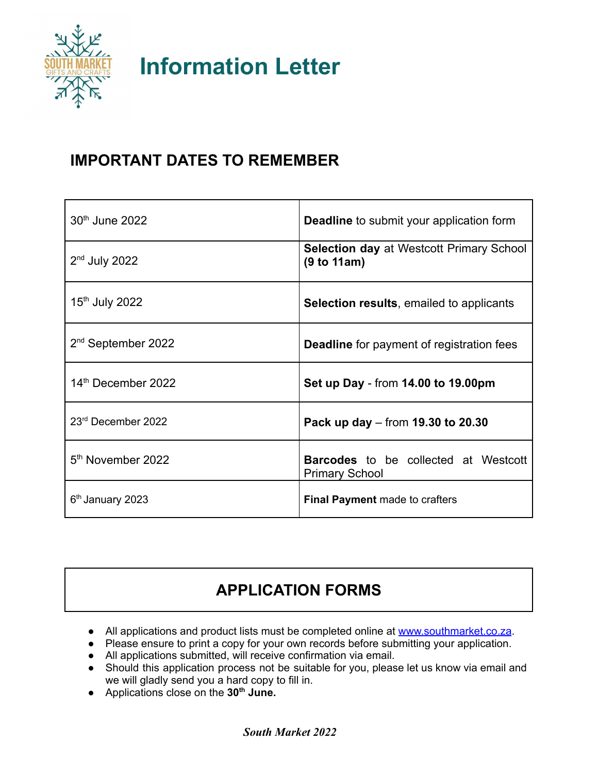

**Information Letter**

## **IMPORTANT DATES TO REMEMBER**

| 30 <sup>th</sup> June 2022     | <b>Deadline</b> to submit your application form                      |
|--------------------------------|----------------------------------------------------------------------|
| $2nd$ July 2022                | <b>Selection day at Westcott Primary School</b><br>(9 to 11am)       |
| 15 <sup>th</sup> July 2022     | <b>Selection results, emailed to applicants</b>                      |
| 2 <sup>nd</sup> September 2022 | <b>Deadline</b> for payment of registration fees                     |
| 14 <sup>th</sup> December 2022 | Set up Day - from 14.00 to 19.00pm                                   |
| 23rd December 2022             | Pack up day – from 19.30 to 20.30                                    |
| 5 <sup>th</sup> November 2022  | <b>Barcodes</b> to be collected at Westcott<br><b>Primary School</b> |
| 6 <sup>th</sup> January 2023   | <b>Final Payment</b> made to crafters                                |

# **APPLICATION FORMS**

- All applications and product lists must be completed online at [www.southmarket.co.za](http://www.southmarket.co.za).
- Please ensure to print a copy for your own records before submitting your application.
- All applications submitted, will receive confirmation via email.
- Should this application process not be suitable for you, please let us know via email and we will gladly send you a hard copy to fill in.
- Applications close on the **30 th June.**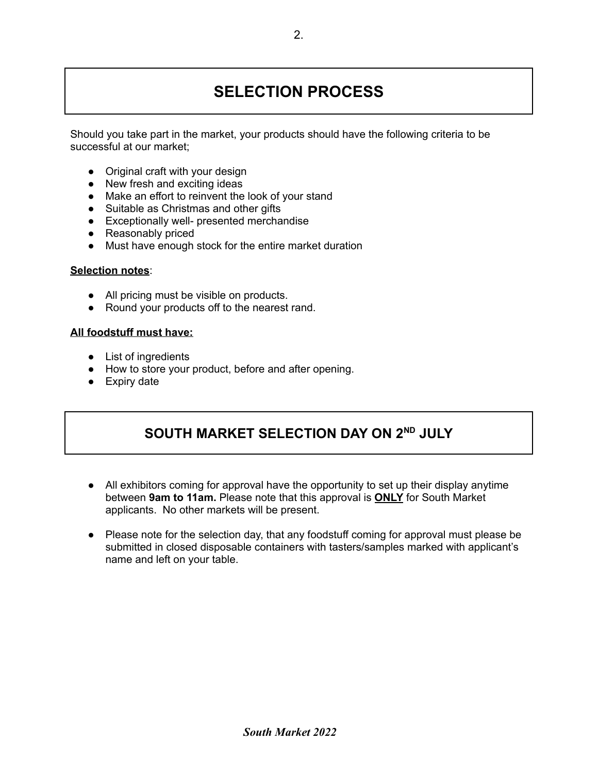# **SELECTION PROCESS**

Should you take part in the market, your products should have the following criteria to be successful at our market;

- Original craft with your design
- New fresh and exciting ideas
- Make an effort to reinvent the look of your stand
- Suitable as Christmas and other gifts
- Exceptionally well- presented merchandise
- Reasonably priced
- Must have enough stock for the entire market duration

#### **Selection notes**:

- All pricing must be visible on products.
- Round your products off to the nearest rand.

#### **All foodstuff must have:**

- List of ingredients
- How to store your product, before and after opening.
- Expiry date

### **SOUTH MARKET SELECTION DAY ON 2 ND JULY**

- All exhibitors coming for approval have the opportunity to set up their display anytime between **9am to 11am.** Please note that this approval is **ONLY** for South Market applicants. No other markets will be present.
- Please note for the selection day, that any foodstuff coming for approval must please be submitted in closed disposable containers with tasters/samples marked with applicant's name and left on your table.